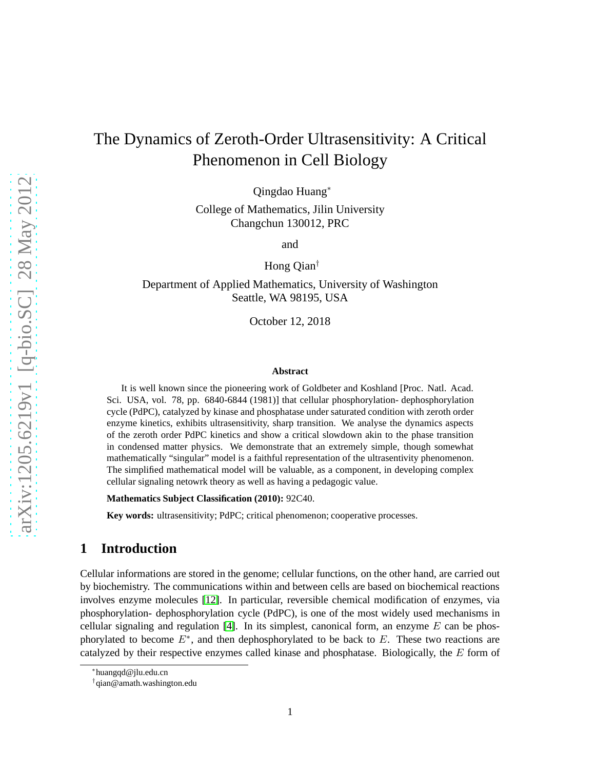# The Dynamics of Zeroth-Order Ultrasensitivity: A Critical Phenomenon in Cell Biology

Qingdao Huang<sup>∗</sup>

College of Mathematics, Jilin University Changchun 130012, PRC

and

Hong Qian†

Department of Applied Mathematics, University of Washington Seattle, WA 98195, USA

October 12, 2018

#### **Abstract**

It is well known since the pioneering work of Goldbeter and Koshland [Proc. Natl. Acad. Sci. USA, vol. 78, pp. 6840-6844 (1981)] that cellular phosphorylation- dephosphorylation cycle (PdPC), catalyzed by kinase and phosphatase under saturated condition with zeroth order enzyme kinetics, exhibits ultrasensitivity, sharp transition. We analyse the dynamics aspects of the zeroth order PdPC kinetics and show a critical slowdown akin to the phase transition in condensed matter physics. We demonstrate that an extremely simple, though somewhat mathematically "singular" model is a faithful representation of the ultrasentivity phenomenon. The simplified mathematical model will be valuable, as a component, in developing complex cellular signaling netowrk theory as well as having a pedagogic value.

**Mathematics Subject Classification (2010):** 92C40.

**Key words:** ultrasensitivity; PdPC; critical phenomenon; cooperative processes.

#### **1 Introduction**

Cellular informations are stored in the genome; cellular functions, on the other hand, are carried out by biochemistry. The communications within and between cells are based on biochemical reactions involves enzyme molecules [\[12\]](#page-7-0). In particular, reversible chemical modification of enzymes, via phosphorylation- dephosphorylation cycle (PdPC), is one of the most widely used mechanisms in cellular signaling and regulation [\[4\]](#page-6-0). In its simplest, canonical form, an enzyme  $E$  can be phosphorylated to become  $E^*$ , and then dephosphorylated to be back to  $E$ . These two reactions are catalyzed by their respective enzymes called kinase and phosphatase. Biologically, the E form of

<sup>∗</sup> huangqd@jlu.edu.cn

<sup>†</sup> qian@amath.washington.edu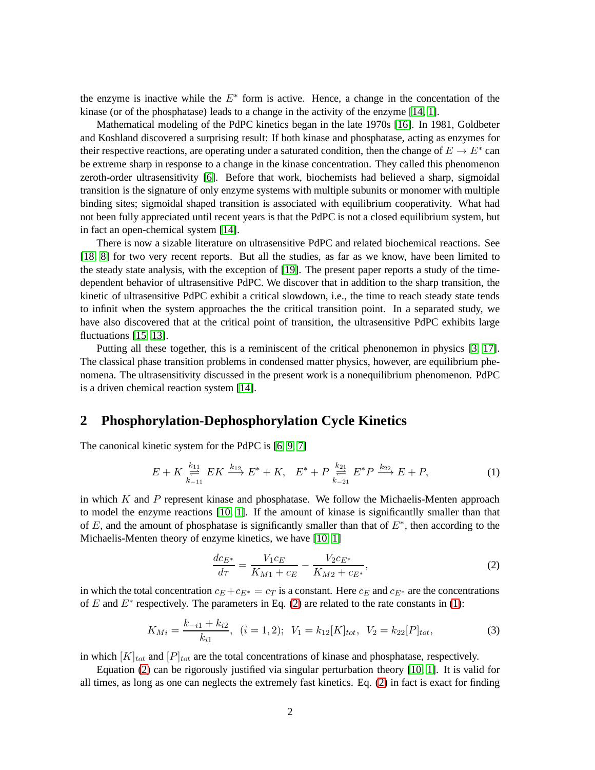the enzyme is inactive while the  $E^*$  form is active. Hence, a change in the concentation of the kinase (or of the phosphatase) leads to a change in the activity of the enzyme [\[14,](#page-7-1) [1\]](#page-6-1).

Mathematical modeling of the PdPC kinetics began in the late 1970s [\[16\]](#page-7-2). In 1981, Goldbeter and Koshland discovered a surprising result: If both kinase and phosphatase, acting as enzymes for their respective reactions, are operating under a saturated condition, then the change of  $E \to E^*$  can be extreme sharp in response to a change in the kinase concentration. They called this phenomenon zeroth-order ultrasensitivity [\[6\]](#page-7-3). Before that work, biochemists had believed a sharp, sigmoidal transition is the signature of only enzyme systems with multiple subunits or monomer with multiple binding sites; sigmoidal shaped transition is associated with equilibrium cooperativity. What had not been fully appreciated until recent years is that the PdPC is not a closed equilibrium system, but in fact an open-chemical system [\[14\]](#page-7-1).

There is now a sizable literature on ultrasensitive PdPC and related biochemical reactions. See [\[18,](#page-7-4) [8\]](#page-7-5) for two very recent reports. But all the studies, as far as we know, have been limited to the steady state analysis, with the exception of [\[19\]](#page-7-6). The present paper reports a study of the timedependent behavior of ultrasensitive PdPC. We discover that in addition to the sharp transition, the kinetic of ultrasensitive PdPC exhibit a critical slowdown, i.e., the time to reach steady state tends to infinit when the system approaches the the critical transition point. In a separated study, we have also discovered that at the critical point of transition, the ultrasensitive PdPC exhibits large fluctuations [\[15,](#page-7-7) [13\]](#page-7-8).

Putting all these together, this is a reminiscent of the critical phenonemon in physics [\[3,](#page-6-2) [17\]](#page-7-9). The classical phase transition problems in condensed matter physics, however, are equilibrium phenomena. The ultrasensitivity discussed in the present work is a nonequilibrium phenomenon. PdPC is a driven chemical reaction system [\[14\]](#page-7-1).

### **2 Phosphorylation-Dephosphorylation Cycle Kinetics**

The canonical kinetic system for the PdPC is [\[6,](#page-7-3) [9,](#page-7-10) [7\]](#page-7-11)

<span id="page-1-1"></span>
$$
E + K \underset{k_{-11}}{\overset{k_{11}}{\rightleftharpoons}} E K \overset{k_{12}}{\longrightarrow} E^* + K, \quad E^* + P \underset{k_{-21}}{\overset{k_{21}}{\rightleftharpoons}} E^* P \overset{k_{22}}{\longrightarrow} E + P,\tag{1}
$$

in which  $K$  and  $P$  represent kinase and phosphatase. We follow the Michaelis-Menten approach to model the enzyme reactions [\[10,](#page-7-12) [1\]](#page-6-1). If the amount of kinase is significantlly smaller than that of E, and the amount of phosphatase is significantly smaller than that of  $E^*$ , then according to the Michaelis-Menten theory of enzyme kinetics, we have [\[10,](#page-7-12) [1\]](#page-6-1)

<span id="page-1-0"></span>
$$
\frac{dc_{E^*}}{d\tau} = \frac{V_1c_E}{K_{M1} + c_E} - \frac{V_2c_{E^*}}{K_{M2} + c_{E^*}},
$$
\n(2)

in which the total concentration  $c_E + c_{E^*} = c_T$  is a constant. Here  $c_E$  and  $c_{E^*}$  are the concentrations of E and  $E^*$  respectively. The parameters in Eq. [\(2\)](#page-1-0) are related to the rate constants in [\(1\)](#page-1-1):

$$
K_{Mi} = \frac{k_{-i1} + k_{i2}}{k_{i1}}, \quad (i = 1, 2); \quad V_1 = k_{12}[K]_{tot}, \quad V_2 = k_{22}[P]_{tot}, \tag{3}
$$

in which  $[K]_{tot}$  and  $[P]_{tot}$  are the total concentrations of kinase and phosphatase, respectively.

Equation [\(2\)](#page-1-0) can be rigorously justified via singular perturbation theory [\[10,](#page-7-12) [1\]](#page-6-1). It is valid for all times, as long as one can neglects the extremely fast kinetics. Eq. [\(2\)](#page-1-0) in fact is exact for finding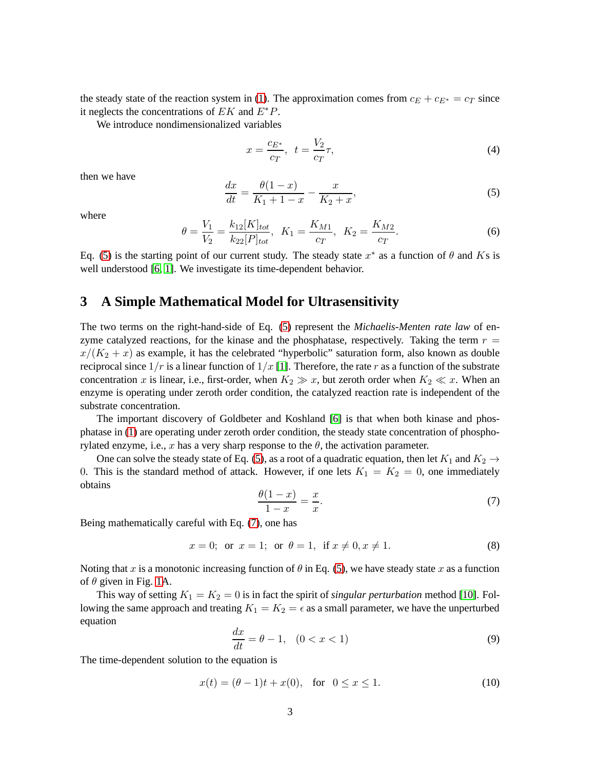the steady state of the reaction system in [\(1\)](#page-1-1). The approximation comes from  $c_E + c_{E^*} = c_T$  since it neglects the concentrations of  $EK$  and  $E^*P$ .

We introduce nondimensionalized variables

$$
x = \frac{c_{E^*}}{c_T}, \ \ t = \frac{V_2}{c_T}\tau,
$$
\n(4)

then we have

<span id="page-2-0"></span>
$$
\frac{dx}{dt} = \frac{\theta(1-x)}{K_1 + 1 - x} - \frac{x}{K_2 + x},\tag{5}
$$

where

$$
\theta = \frac{V_1}{V_2} = \frac{k_{12}[K]_{tot}}{k_{22}[P]_{tot}}, \ \ K_1 = \frac{K_{M1}}{c_T}, \ \ K_2 = \frac{K_{M2}}{c_T}.
$$
\n
$$
(6)
$$

Eq. [\(5\)](#page-2-0) is the starting point of our current study. The steady state  $x^*$  as a function of  $\theta$  and Ks is well understood [\[6,](#page-7-3) [1\]](#page-6-1). We investigate its time-dependent behavior.

#### **3 A Simple Mathematical Model for Ultrasensitivity**

The two terms on the right-hand-side of Eq. [\(5\)](#page-2-0) represent the *Michaelis-Menten rate law* of enzyme catalyzed reactions, for the kinase and the phosphatase, respectively. Taking the term  $r =$  $x/(K_2 + x)$  as example, it has the celebrated "hyperbolic" saturation form, also known as double reciprocal since  $1/r$  is a linear function of  $1/x$  [\[1\]](#page-6-1). Therefore, the rate r as a function of the substrate concentration x is linear, i.e., first-order, when  $K_2 \gg x$ , but zeroth order when  $K_2 \ll x$ . When an enzyme is operating under zeroth order condition, the catalyzed reaction rate is independent of the substrate concentration.

The important discovery of Goldbeter and Koshland [\[6\]](#page-7-3) is that when both kinase and phosphatase in [\(1\)](#page-1-1) are operating under zeroth order condition, the steady state concentration of phosphorylated enzyme, i.e., x has a very sharp response to the  $\theta$ , the activation parameter.

One can solve the steady state of Eq. [\(5\)](#page-2-0), as a root of a quadratic equation, then let  $K_1$  and  $K_2 \rightarrow$ 0. This is the standard method of attack. However, if one lets  $K_1 = K_2 = 0$ , one immediately obtains

<span id="page-2-1"></span>
$$
\frac{\theta(1-x)}{1-x} = \frac{x}{x}.\tag{7}
$$

Being mathematically careful with Eq. [\(7\)](#page-2-1), one has

$$
x = 0
$$
; or  $x = 1$ ; or  $\theta = 1$ , if  $x \neq 0, x \neq 1$ . (8)

Noting that x is a monotonic increasing function of  $\theta$  in Eq. [\(5\)](#page-2-0), we have steady state x as a function of  $\theta$  given in Fig. [1A](#page-3-0).

This way of setting  $K_1 = K_2 = 0$  is in fact the spirit of *singular perturbation* method [\[10\]](#page-7-12). Following the same approach and treating  $K_1 = K_2 = \epsilon$  as a small parameter, we have the unperturbed equation

<span id="page-2-2"></span>
$$
\frac{dx}{dt} = \theta - 1, \quad (0 < x < 1) \tag{9}
$$

The time-dependent solution to the equation is

<span id="page-2-3"></span>
$$
x(t) = (\theta - 1)t + x(0), \text{ for } 0 \le x \le 1.
$$
 (10)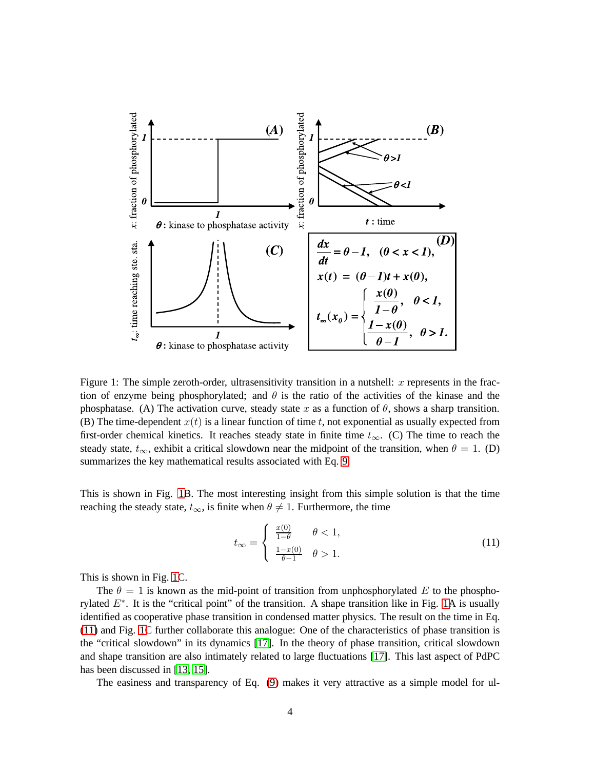

<span id="page-3-0"></span>Figure 1: The simple zeroth-order, ultrasensitivity transition in a nutshell: x represents in the fraction of enzyme being phosphorylated; and  $\theta$  is the ratio of the activities of the kinase and the phosphatase. (A) The activation curve, steady state x as a function of  $\theta$ , shows a sharp transition. (B) The time-dependent  $x(t)$  is a linear function of time t, not exponential as usually expected from first-order chemical kinetics. It reaches steady state in finite time  $t_{\infty}$ . (C) The time to reach the steady state,  $t_{\infty}$ , exhibit a critical slowdown near the midpoint of the transition, when  $\theta = 1$ . (D) summarizes the key mathematical results associated with Eq. [9.](#page-2-2)

This is shown in Fig. [1B](#page-3-0). The most interesting insight from this simple solution is that the time reaching the steady state,  $t_{\infty}$ , is finite when  $\theta \neq 1$ . Furthermore, the time

<span id="page-3-1"></span>
$$
t_{\infty} = \begin{cases} \frac{x(0)}{1-\theta} & \theta < 1, \\ \frac{1-x(0)}{\theta-1} & \theta > 1. \end{cases}
$$
 (11)

This is shown in Fig. [1C](#page-3-0).

The  $\theta = 1$  is known as the mid-point of transition from unphosphorylated E to the phosphorylated  $E^*$ . It is the "critical point" of the transition. A shape transition like in Fig. [1A](#page-3-0) is usually identified as cooperative phase transition in condensed matter physics. The result on the time in Eq. [\(11\)](#page-3-1) and Fig. [1C](#page-3-0) further collaborate this analogue: One of the characteristics of phase transition is the "critical slowdown" in its dynamics [\[17\]](#page-7-9). In the theory of phase transition, critical slowdown and shape transition are also intimately related to large fluctuations [\[17\]](#page-7-9). This last aspect of PdPC has been discussed in [\[13,](#page-7-8) [15\]](#page-7-7).

The easiness and transparency of Eq. [\(9\)](#page-2-2) makes it very attractive as a simple model for ul-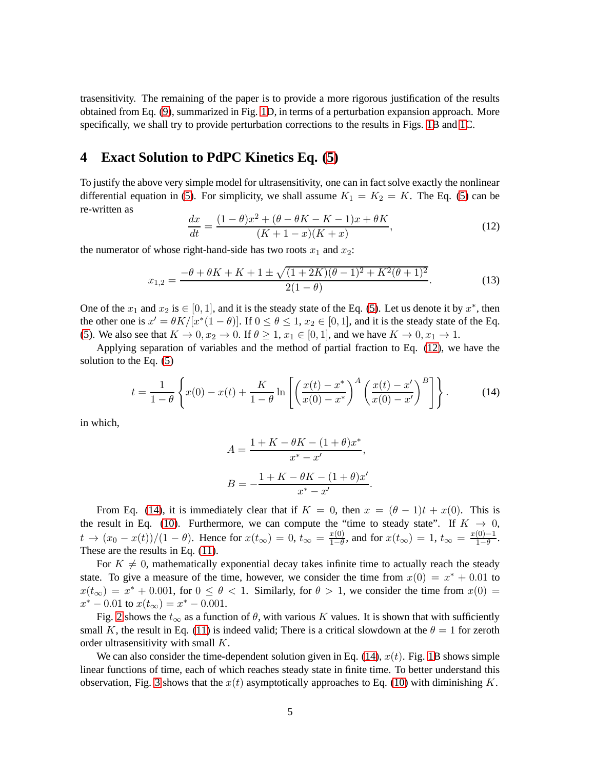trasensitivity. The remaining of the paper is to provide a more rigorous justification of the results obtained from Eq. [\(9\)](#page-2-2), summarized in Fig. [1D](#page-3-0), in terms of a perturbation expansion approach. More specifically, we shall try to provide perturbation corrections to the results in Figs. [1B](#page-3-0) and [1C](#page-3-0).

# **4 Exact Solution to PdPC Kinetics Eq. [\(5\)](#page-2-0)**

To justify the above very simple model for ultrasensitivity, one can in fact solve exactly the nonlinear differential equation in [\(5\)](#page-2-0). For simplicity, we shall assume  $K_1 = K_2 = K$ . The Eq. (5) can be re-written as

<span id="page-4-0"></span>
$$
\frac{dx}{dt} = \frac{(1 - \theta)x^2 + (\theta - \theta K - K - 1)x + \theta K}{(K + 1 - x)(K + x)},
$$
\n(12)

the numerator of whose right-hand-side has two roots  $x_1$  and  $x_2$ :

$$
x_{1,2} = \frac{-\theta + \theta K + K + 1 \pm \sqrt{(1 + 2K)(\theta - 1)^2 + K^2(\theta + 1)^2}}{2(1 - \theta)}.
$$
 (13)

One of the  $x_1$  and  $x_2$  is  $\in [0, 1]$ , and it is the steady state of the Eq. [\(5\)](#page-2-0). Let us denote it by  $x^*$ , then the other one is  $x' = \theta K/[x^*(1-\theta)]$ . If  $0 \le \theta \le 1$ ,  $x_2 \in [0,1]$ , and it is the steady state of the Eq. [\(5\)](#page-2-0). We also see that  $K \to 0, x_2 \to 0$ . If  $\theta \geq 1, x_1 \in [0, 1]$ , and we have  $K \to 0, x_1 \to 1$ .

Applying separation of variables and the method of partial fraction to Eq. [\(12\)](#page-4-0), we have the solution to the Eq. [\(5\)](#page-2-0)

<span id="page-4-1"></span>
$$
t = \frac{1}{1-\theta} \left\{ x(0) - x(t) + \frac{K}{1-\theta} \ln \left[ \left( \frac{x(t) - x^*}{x(0) - x^*} \right)^A \left( \frac{x(t) - x'}{x(0) - x'} \right)^B \right] \right\}.
$$
 (14)

in which,

$$
A = \frac{1 + K - \theta K - (1 + \theta)x^{*}}{x^{*} - x'},
$$

$$
B = -\frac{1 + K - \theta K - (1 + \theta)x'}{x^{*} - x'}.
$$

From Eq. [\(14\)](#page-4-1), it is immediately clear that if  $K = 0$ , then  $x = (\theta - 1)t + x(0)$ . This is the result in Eq. [\(10\)](#page-2-3). Furthermore, we can compute the "time to steady state". If  $K \to 0$ ,  $t \to (x_0 - x(t))/(1 - \theta)$ . Hence for  $x(t_{\infty}) = 0$ ,  $t_{\infty} = \frac{x(0)}{1 - \theta}$  $\frac{x(0)}{1-\theta}$ , and for  $x(t_{\infty}) = 1$ ,  $t_{\infty} = \frac{x(0)-1}{1-\theta}$  $\frac{(0)-1}{1-\theta}$ . These are the results in Eq.  $(11)$ .

For  $K \neq 0$ , mathematically exponential decay takes infinite time to actually reach the steady state. To give a measure of the time, however, we consider the time from  $x(0) = x^* + 0.01$  to  $x(t_{\infty}) = x^* + 0.001$ , for  $0 \le \theta < 1$ . Similarly, for  $\theta > 1$ , we consider the time from  $x(0) =$  $x^* - 0.01$  to  $x(t_{\infty}) = x^* - 0.001$ .

Fig. [2](#page-5-0) shows the  $t_{\infty}$  as a function of  $\theta$ , with various K values. It is shown that with sufficiently small K, the result in Eq. [\(11\)](#page-3-1) is indeed valid; There is a critical slowdown at the  $\theta = 1$  for zeroth order ultrasensitivity with small K.

We can also consider the time-dependent solution given in Eq.  $(14)$ ,  $x(t)$ . Fig. [1B](#page-3-0) shows simple linear functions of time, each of which reaches steady state in finite time. To better understand this observation, Fig. [3](#page-6-3) shows that the  $x(t)$  asymptotically approaches to Eq. [\(10\)](#page-2-3) with diminishing K.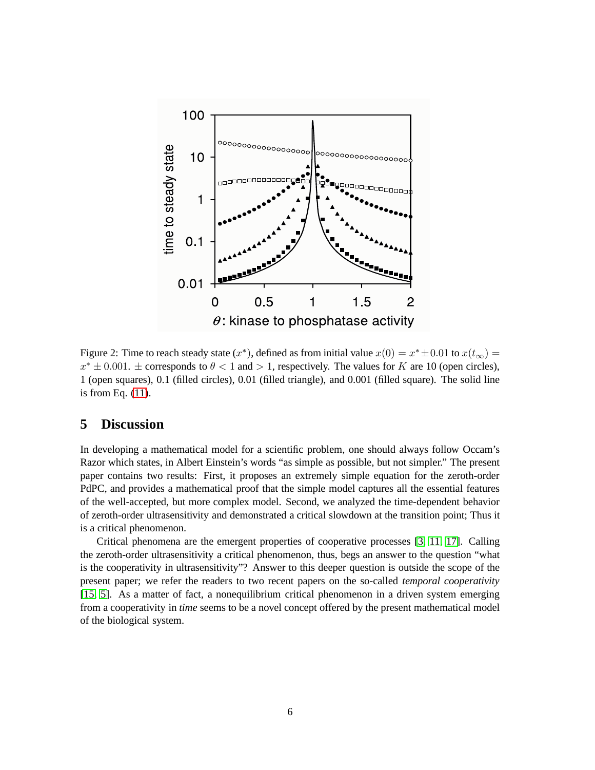

<span id="page-5-0"></span>Figure 2: Time to reach steady state  $(x^*)$ , defined as from initial value  $x(0) = x^* \pm 0.01$  to  $x(t_{\infty}) =$  $x^* \pm 0.001$ .  $\pm$  corresponds to  $\theta < 1$  and  $> 1$ , respectively. The values for K are 10 (open circles), 1 (open squares), 0.1 (filled circles), 0.01 (filled triangle), and 0.001 (filled square). The solid line is from Eq. [\(11\)](#page-3-1).

# **5 Discussion**

In developing a mathematical model for a scientific problem, one should always follow Occam's Razor which states, in Albert Einstein's words "as simple as possible, but not simpler." The present paper contains two results: First, it proposes an extremely simple equation for the zeroth-order PdPC, and provides a mathematical proof that the simple model captures all the essential features of the well-accepted, but more complex model. Second, we analyzed the time-dependent behavior of zeroth-order ultrasensitivity and demonstrated a critical slowdown at the transition point; Thus it is a critical phenomenon.

Critical phenomena are the emergent properties of cooperative processes [\[3,](#page-6-2) [11,](#page-7-13) [17\]](#page-7-9). Calling the zeroth-order ultrasensitivity a critical phenomenon, thus, begs an answer to the question "what is the cooperativity in ultrasensitivity"? Answer to this deeper question is outside the scope of the present paper; we refer the readers to two recent papers on the so-called *temporal cooperativity* [\[15,](#page-7-7) [5\]](#page-6-4). As a matter of fact, a nonequilibrium critical phenomenon in a driven system emerging from a cooperativity in *time* seems to be a novel concept offered by the present mathematical model of the biological system.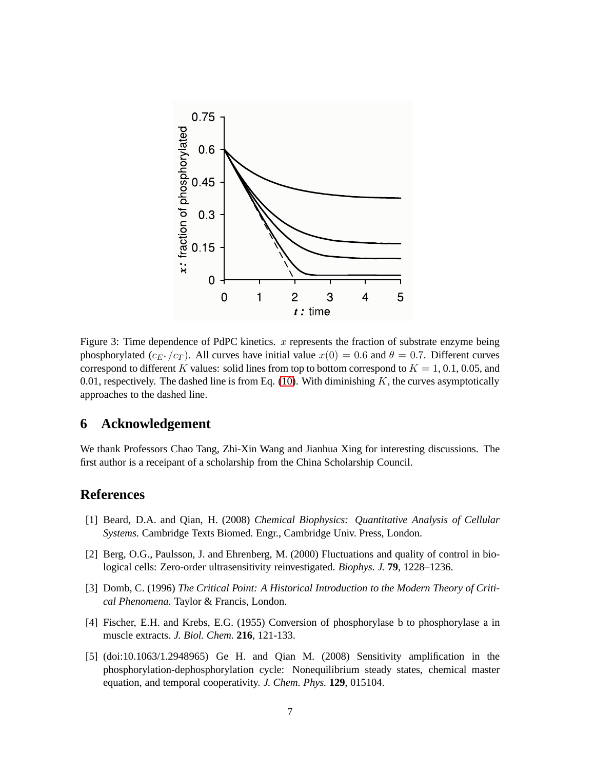

<span id="page-6-3"></span>Figure 3: Time dependence of PdPC kinetics.  $x$  represents the fraction of substrate enzyme being phosphorylated ( $c_{E^*}/c_T$ ). All curves have initial value  $x(0) = 0.6$  and  $\theta = 0.7$ . Different curves correspond to different K values: solid lines from top to bottom correspond to  $K = 1, 0.1, 0.05$ , and 0.01, respectively. The dashed line is from Eq. [\(10\)](#page-2-3). With diminishing  $K$ , the curves asymptotically approaches to the dashed line.

# **6 Acknowledgement**

We thank Professors Chao Tang, Zhi-Xin Wang and Jianhua Xing for interesting discussions. The first author is a receipant of a scholarship from the China Scholarship Council.

# <span id="page-6-1"></span>**References**

- [1] Beard, D.A. and Qian, H. (2008) *Chemical Biophysics: Quantitative Analysis of Cellular Systems.* Cambridge Texts Biomed. Engr., Cambridge Univ. Press, London.
- [2] Berg, O.G., Paulsson, J. and Ehrenberg, M. (2000) Fluctuations and quality of control in biological cells: Zero-order ultrasensitivity reinvestigated. *Biophys. J.* **79**, 1228–1236.
- <span id="page-6-2"></span>[3] Domb, C. (1996) *The Critical Point: A Historical Introduction to the Modern Theory of Critical Phenomena.* Taylor & Francis, London.
- <span id="page-6-4"></span><span id="page-6-0"></span>[4] Fischer, E.H. and Krebs, E.G. (1955) Conversion of phosphorylase b to phosphorylase a in muscle extracts. *J. Biol. Chem.* **216**, 121-133.
- [5] (doi:10.1063/1.2948965) Ge H. and Qian M. (2008) Sensitivity amplification in the phosphorylation-dephosphorylation cycle: Nonequilibrium steady states, chemical master equation, and temporal cooperativity. *J. Chem. Phys.* **129**, 015104.